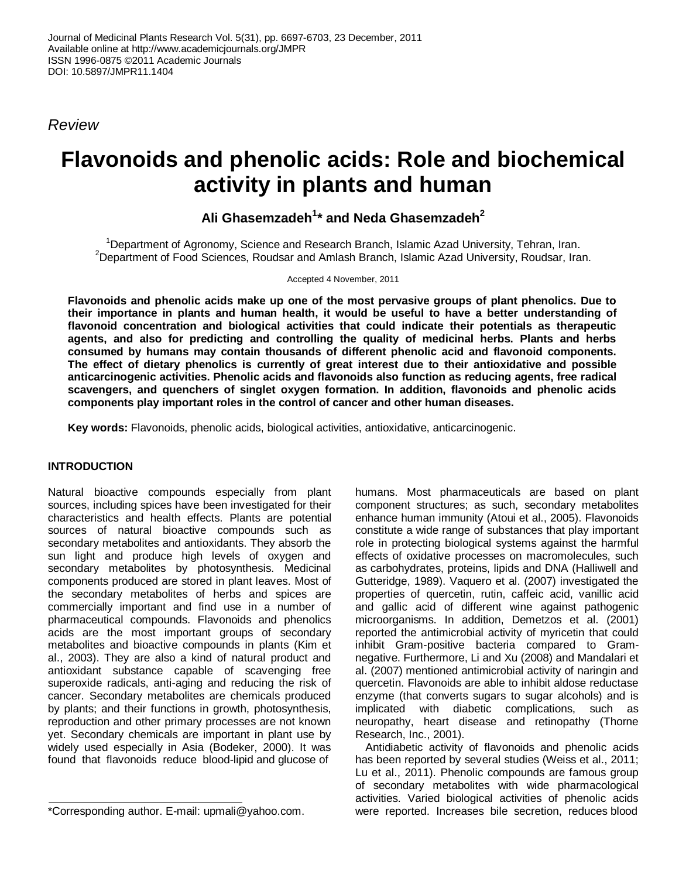*Review*

# **Flavonoids and phenolic acids: Role and biochemical activity in plants and human**

**Ali Ghasemzadeh<sup>1</sup> \* and Neda Ghasemzadeh<sup>2</sup>**

<sup>1</sup>Department of Agronomy, Science and Research Branch, Islamic Azad University, Tehran, Iran.  $2$ Department of Food Sciences, Roudsar and Amlash Branch, Islamic Azad University, Roudsar, Iran.

Accepted 4 November, 2011

**Flavonoids and phenolic acids make up one of the most pervasive groups of plant phenolics. Due to their importance in plants and human health, it would be useful to have a better understanding of flavonoid concentration and biological activities that could indicate their potentials as therapeutic agents, and also for predicting and controlling the quality of medicinal herbs. Plants and herbs consumed by humans may contain thousands of different phenolic acid and flavonoid components. The effect of dietary phenolics is currently of great interest due to their antioxidative and possible anticarcinogenic activities. Phenolic acids and flavonoids also function as reducing agents, free radical scavengers, and quenchers of singlet oxygen formation. In addition, flavonoids and phenolic acids components play important roles in the control of cancer and other human diseases.**

**Key words:** Flavonoids, phenolic acids, biological activities, antioxidative, anticarcinogenic.

# **INTRODUCTION**

Natural bioactive compounds especially from plant sources, including spices have been investigated for their characteristics and health effects. Plants are potential sources of natural bioactive compounds such as secondary metabolites and antioxidants. They absorb the sun light and produce high levels of oxygen and secondary metabolites by photosynthesis. Medicinal components produced are stored in plant leaves. Most of the secondary metabolites of herbs and spices are commercially important and find use in a number of pharmaceutical compounds. Flavonoids and phenolics acids are the most important groups of secondary metabolites and bioactive compounds in plants (Kim et al., 2003). They are also a kind of natural product and antioxidant substance capable of scavenging free superoxide radicals, anti-aging and reducing the risk of cancer. Secondary metabolites are chemicals produced by plants; and their functions in growth, photosynthesis, reproduction and other primary processes are not known yet. Secondary chemicals are important in plant use by widely used especially in Asia (Bodeker, 2000). It was found that flavonoids reduce blood-lipid and glucose of

humans. Most pharmaceuticals are based on plant component structures; as such, secondary metabolites enhance human immunity (Atoui et al., 2005). Flavonoids constitute a wide range of substances that play important role in protecting biological systems against the harmful effects of oxidative processes on macromolecules, such as carbohydrates, proteins, lipids and DNA (Halliwell and Gutteridge, 1989). Vaquero et al. (2007) investigated the properties of quercetin, rutin, caffeic acid, vanillic acid and gallic acid of different wine against pathogenic microorganisms. In addition, Demetzos et al. (2001) reported the antimicrobial activity of myricetin that could inhibit Gram-positive bacteria compared to Gramnegative. Furthermore, Li and Xu (2008) and Mandalari et al. (2007) mentioned antimicrobial activity of naringin and quercetin. Flavonoids are able to inhibit aldose reductase enzyme (that converts sugars to sugar alcohols) and is implicated with diabetic complications, such as neuropathy, heart disease and retinopathy (Thorne Research, Inc., 2001).

Antidiabetic activity of flavonoids and phenolic acids has been reported by several studies (Weiss et al., 2011; Lu et al., 2011). Phenolic compounds are famous group of secondary metabolites with wide pharmacological activities. Varied biological activities of phenolic acids were reported. Increases bile secretion, reduces blood

<sup>\*</sup>Corresponding author. E-mail: upmali@yahoo.com.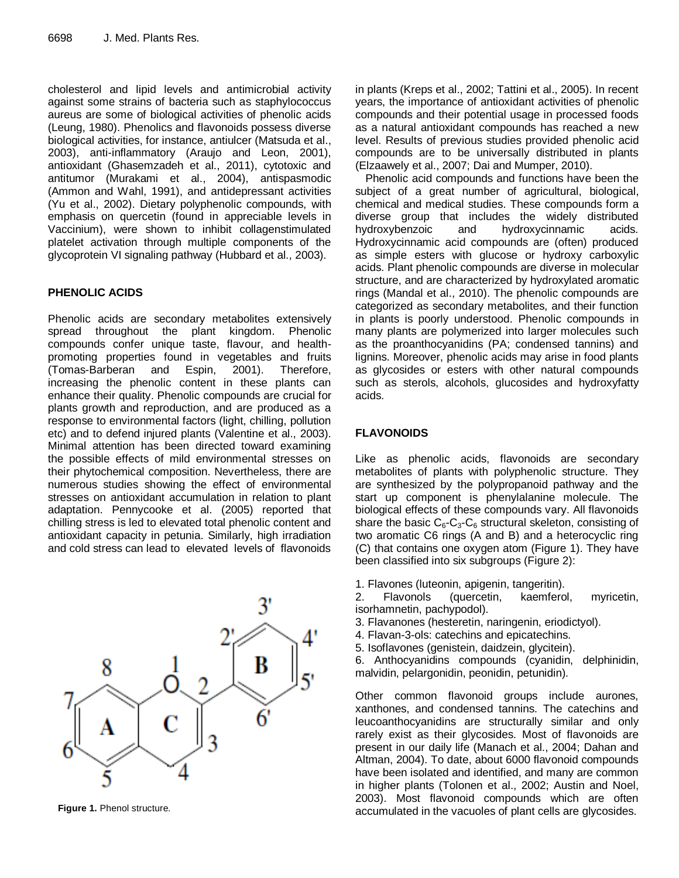cholesterol and lipid levels and antimicrobial activity against some strains of bacteria such as staphylococcus aureus are some of biological activities of phenolic acids (Leung, 1980). Phenolics and flavonoids possess diverse biological activities, for instance, antiulcer (Matsuda et al., 2003), anti-inflammatory (Araujo and Leon, 2001), antioxidant (Ghasemzadeh et al., 2011), cytotoxic and antitumor (Murakami et al., 2004), antispasmodic (Ammon and Wahl, 1991), and antidepressant activities (Yu et al., 2002). Dietary polyphenolic compounds, with emphasis on quercetin (found in appreciable levels in Vaccinium), were shown to inhibit collagenstimulated platelet activation through multiple components of the glycoprotein VI signaling pathway (Hubbard et al., 2003).

## **PHENOLIC ACIDS**

Phenolic acids are secondary metabolites extensively spread throughout the plant kingdom. Phenolic compounds confer unique taste, flavour, and healthpromoting properties found in vegetables and fruits (Tomas-Barberan and Espin, 2001). Therefore, increasing the phenolic content in these plants can enhance their quality. Phenolic compounds are crucial for plants growth and reproduction, and are produced as a response to environmental factors (light, chilling, pollution etc) and to defend injured plants (Valentine et al., 2003). Minimal attention has been directed toward examining the possible effects of mild environmental stresses on their phytochemical composition. Nevertheless, there are numerous studies showing the effect of environmental stresses on antioxidant accumulation in relation to plant adaptation. Pennycooke et al. (2005) reported that chilling stress is led to elevated total phenolic content and antioxidant capacity in petunia. Similarly, high irradiation and cold stress can lead to elevated levels of flavonoids



**Figure 1.** Phenol structure.

in plants (Kreps et al., 2002; Tattini et al., 2005). In recent years, the importance of antioxidant activities of phenolic compounds and their potential usage in processed foods as a natural antioxidant compounds has reached a new level. Results of previous studies provided phenolic acid compounds are to be universally distributed in plants (Elzaawely et al., 2007; Dai and Mumper, 2010).

Phenolic acid compounds and functions have been the subject of a great number of agricultural, biological, chemical and medical studies. These compounds form a diverse group that includes the widely distributed hydroxybenzoic and hydroxycinnamic acids. Hydroxycinnamic acid compounds are (often) produced as simple esters with glucose or hydroxy carboxylic acids. Plant phenolic compounds are diverse in molecular structure, and are characterized by hydroxylated aromatic rings (Mandal et al., 2010). The phenolic compounds are categorized as secondary metabolites, and their function in plants is poorly understood. Phenolic compounds in many plants are polymerized into larger molecules such as the proanthocyanidins (PA; condensed tannins) and lignins. Moreover, phenolic acids may arise in food plants as glycosides or esters with other natural compounds such as sterols, alcohols, glucosides and hydroxyfatty acids.

# **FLAVONOIDS**

Like as phenolic acids, flavonoids are secondary metabolites of plants with polyphenolic structure. They are synthesized by the polypropanoid pathway and the start up component is phenylalanine molecule. The biological effects of these compounds vary. All flavonoids share the basic  $C_6$ - $C_3$ - $C_6$  structural skeleton, consisting of two aromatic C6 rings (A and B) and a heterocyclic ring (C) that contains one oxygen atom (Figure 1). They have been classified into six subgroups (Figure 2):

1. Flavones (luteonin, apigenin, tangeritin).

2. Flavonols (quercetin, kaemferol, myricetin, isorhamnetin, pachypodol).

- 3. Flavanones (hesteretin, naringenin, eriodictyol).
- 4. Flavan-3-ols: catechins and epicatechins.
- 5. Isoflavones (genistein, daidzein, glycitein).
- 6. Anthocyanidins compounds (cyanidin, delphinidin, malvidin, pelargonidin, peonidin, petunidin).

Other common flavonoid groups include aurones, xanthones, and condensed tannins. The catechins and leucoanthocyanidins are structurally similar and only rarely exist as their glycosides. Most of flavonoids are present in our daily life (Manach et al., 2004; Dahan and Altman, 2004). To date, about 6000 flavonoid compounds have been isolated and identified, and many are common in higher plants (Tolonen et al., 2002; Austin and Noel, 2003). Most flavonoid compounds which are often accumulated in the vacuoles of plant cells are glycosides.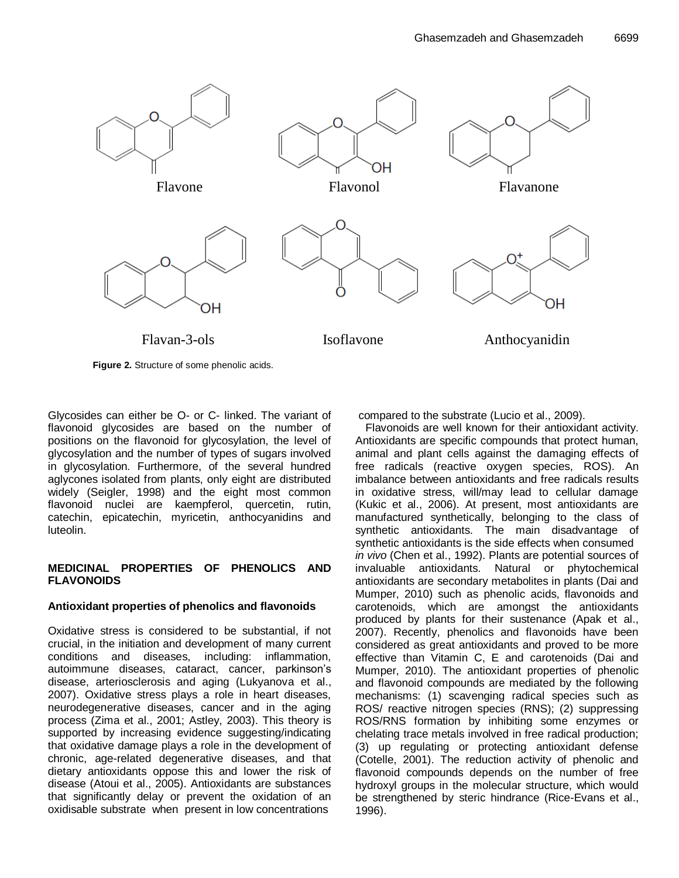

**Figure 2.** Structure of some phenolic acids.

Glycosides can either be O- or C- linked. The variant of flavonoid glycosides are based on the number of positions on the flavonoid for glycosylation, the level of glycosylation and the number of types of sugars involved in glycosylation. Furthermore, of the several hundred aglycones isolated from plants, only eight are distributed widely (Seigler, 1998) and the eight most common flavonoid nuclei are kaempferol, quercetin, rutin, catechin, epicatechin, myricetin, anthocyanidins and luteolin.

## **MEDICINAL PROPERTIES OF PHENOLICS AND FLAVONOIDS**

# **Antioxidant properties of phenolics and flavonoids**

Oxidative stress is considered to be substantial, if not crucial, in the initiation and development of many current conditions and diseases, including: inflammation, autoimmune diseases, cataract, cancer, parkinson's disease, arteriosclerosis and aging (Lukyanova et al., 2007). Oxidative stress plays a role in heart diseases, neurodegenerative diseases, cancer and in the aging process (Zima et al., 2001; Astley, 2003). This theory is supported by increasing evidence suggesting/indicating that oxidative damage plays a role in the development of chronic, age-related degenerative diseases, and that dietary antioxidants oppose this and lower the risk of disease (Atoui et al., 2005). Antioxidants are substances that significantly delay or prevent the oxidation of an oxidisable substrate when present in low concentrations

compared to the substrate (Lucio et al., 2009).

Flavonoids are well known for their antioxidant activity. Antioxidants are specific compounds that protect human, animal and plant cells against the damaging effects of free radicals (reactive oxygen species, ROS). An imbalance between antioxidants and free radicals results in oxidative stress, will/may lead to cellular damage (Kukic et al., 2006). At present, most antioxidants are manufactured synthetically, belonging to the class of synthetic antioxidants. The main disadvantage of synthetic antioxidants is the side effects when consumed *in vivo* (Chen et al., 1992). Plants are potential sources of invaluable antioxidants. Natural or phytochemical antioxidants are secondary metabolites in plants (Dai and Mumper, 2010) such as phenolic acids, flavonoids and carotenoids, which are amongst the antioxidants produced by plants for their sustenance (Apak et al., 2007). Recently, phenolics and flavonoids have been considered as great antioxidants and proved to be more effective than Vitamin C, E and carotenoids (Dai and Mumper, 2010). The antioxidant properties of phenolic and flavonoid compounds are mediated by the following mechanisms: (1) scavenging radical species such as ROS/ reactive nitrogen species (RNS); (2) suppressing ROS/RNS formation by inhibiting some enzymes or chelating trace metals involved in free radical production; (3) up regulating or protecting antioxidant defense (Cotelle, 2001). The reduction activity of phenolic and flavonoid compounds depends on the number of free hydroxyl groups in the molecular structure, which would be strengthened by steric hindrance (Rice-Evans et al., 1996).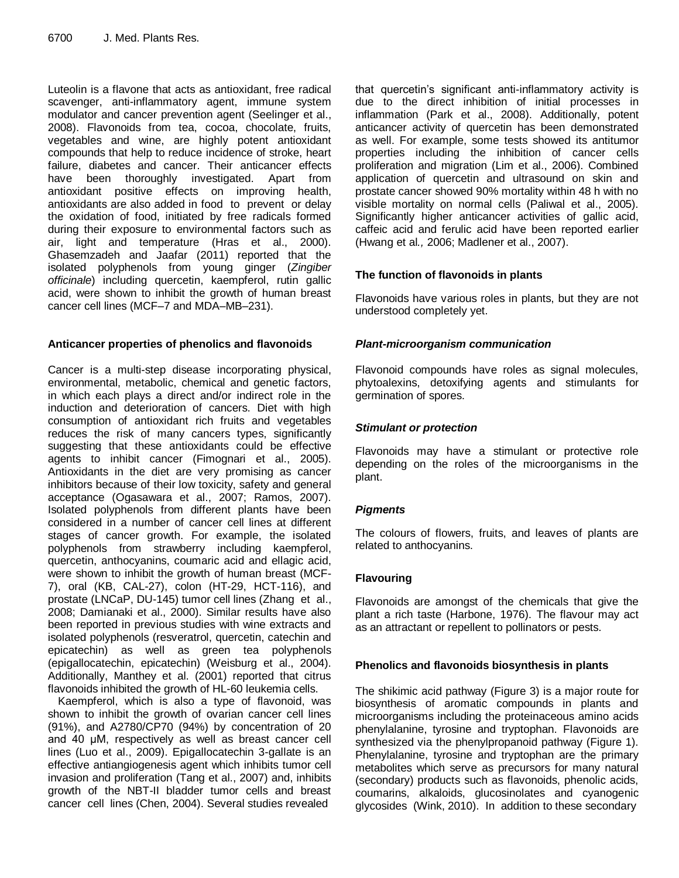Luteolin is a flavone that acts as antioxidant, free radical scavenger, anti-inflammatory agent, immune system modulator and cancer prevention agent (Seelinger et al., 2008). Flavonoids from tea, cocoa, chocolate, fruits, vegetables and wine, are highly potent antioxidant compounds that help to reduce incidence of stroke, heart failure, diabetes and cancer. Their anticancer effects have been thoroughly investigated. Apart from antioxidant positive effects on improving health, antioxidants are also added in food to prevent or delay the oxidation of food, initiated by free radicals formed during their exposure to environmental factors such as air, light and temperature (Hras et al., 2000). Ghasemzadeh and Jaafar (2011) reported that the isolated polyphenols from young ginger (*Zingiber officinale*) including quercetin, kaempferol, rutin gallic acid, were shown to inhibit the growth of human breast cancer cell lines (MCF–7 and MDA–MB–231).

## **Anticancer properties of phenolics and flavonoids**

Cancer is a multi-step disease incorporating physical, environmental, metabolic, chemical and genetic factors, in which each plays a direct and/or indirect role in the induction and deterioration of cancers. Diet with high consumption of antioxidant rich fruits and vegetables reduces the risk of many cancers types, significantly suggesting that these antioxidants could be effective agents to inhibit cancer (Fimognari et al., 2005). Antioxidants in the diet are very promising as cancer inhibitors because of their low toxicity, safety and general acceptance (Ogasawara et al., 2007; Ramos, 2007). Isolated polyphenols from different plants have been considered in a number of cancer cell lines at different stages of cancer growth. For example, the isolated polyphenols from strawberry including kaempferol, quercetin, anthocyanins, coumaric acid and ellagic acid, were shown to inhibit the growth of human breast (MCF-7), oral (KB, CAL-27), colon (HT-29, HCT-116), and prostate (LNCaP, DU-145) tumor cell lines (Zhang et al., 2008; Damianaki et al., 2000). Similar results have also been reported in previous studies with wine extracts and isolated polyphenols (resveratrol, quercetin, catechin and epicatechin) as well as green tea polyphenols (epigallocatechin, epicatechin) (Weisburg et al., 2004). Additionally, Manthey et al. (2001) reported that citrus flavonoids inhibited the growth of HL-60 leukemia cells.

Kaempferol, which is also a type of flavonoid, was shown to inhibit the growth of ovarian cancer cell lines (91%), and A2780/CP70 (94%) by concentration of 20 and 40 μM, respectively as well as breast cancer cell lines (Luo et al., 2009). Epigallocatechin 3-gallate is an effective antiangiogenesis agent which inhibits tumor cell invasion and proliferation (Tang et al., 2007) and, inhibits growth of the NBT-II bladder tumor cells and breast cancer cell lines (Chen, 2004). Several studies revealed

that quercetin's significant anti-inflammatory activity is due to the direct inhibition of initial processes in inflammation (Park et al., 2008). Additionally, potent anticancer activity of quercetin has been demonstrated as well. For example, some tests showed its antitumor properties including the inhibition of cancer cells proliferation and migration (Lim et al., 2006). Combined application of quercetin and ultrasound on skin and prostate cancer showed 90% mortality within 48 h with no visible mortality on normal cells (Paliwal et al., 2005). Significantly higher anticancer activities of gallic acid, caffeic acid and ferulic acid have been reported earlier (Hwang et al*.,* 2006; Madlener et al., 2007).

# **The function of flavonoids in plants**

Flavonoids have various roles in plants, but they are not understood completely yet.

# *Plant-microorganism communication*

Flavonoid compounds have roles as signal molecules, phytoalexins, detoxifying agents and stimulants for germination of spores.

# *Stimulant or protection*

Flavonoids may have a stimulant or protective role depending on the roles of the microorganisms in the plant.

# *Pigments*

The colours of flowers, fruits, and leaves of plants are related to anthocyanins.

# **Flavouring**

Flavonoids are amongst of the chemicals that give the plant a rich taste (Harbone, 1976). The flavour may act as an attractant or repellent to pollinators or pests.

# **Phenolics and flavonoids biosynthesis in plants**

The shikimic acid pathway (Figure 3) is a major route for biosynthesis of aromatic compounds in plants and microorganisms including the proteinaceous amino acids phenylalanine, tyrosine and tryptophan. Flavonoids are synthesized via the phenylpropanoid pathway (Figure 1). Phenylalanine, tyrosine and tryptophan are the primary metabolites which serve as precursors for many natural (secondary) products such as flavonoids, phenolic acids, coumarins, alkaloids, glucosinolates and cyanogenic glycosides (Wink, 2010). In addition to these secondary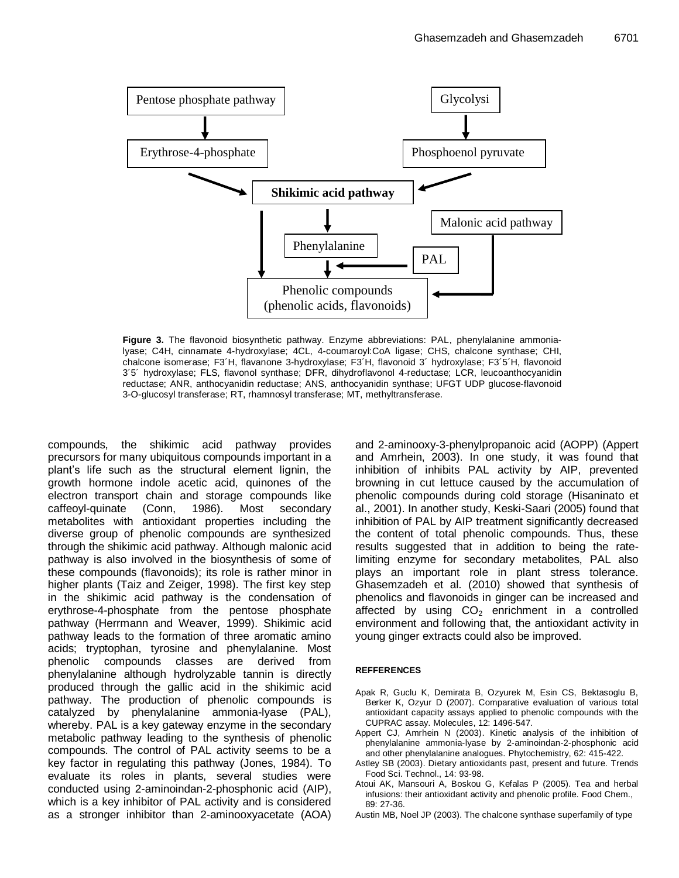

**Figure 3.** The flavonoid biosynthetic pathway. Enzyme abbreviations: PAL, phenylalanine ammonialyase; C4H, cinnamate 4-hydroxylase; 4CL, 4-coumaroyl:CoA ligase; CHS, chalcone synthase; CHI, chalcone isomerase; F3´H, flavanone 3-hydroxylase; F3´H, flavonoid 3´ hydroxylase; F3´5´H, flavonoid 3´5´ hydroxylase; FLS, flavonol synthase; DFR, dihydroflavonol 4-reductase; LCR, leucoanthocyanidin reductase; ANR, anthocyanidin reductase; ANS, anthocyanidin synthase; UFGT UDP glucose-flavonoid 3-O-glucosyl transferase; RT, rhamnosyl transferase; MT, methyltransferase.

compounds, the shikimic acid pathway provides precursors for many ubiquitous compounds important in a plant's life such as the structural element lignin, the growth hormone indole acetic acid, quinones of the electron transport chain and storage compounds like caffeoyl-quinate (Conn, 1986). Most secondary metabolites with antioxidant properties including the diverse group of phenolic compounds are synthesized through the shikimic acid pathway. Although malonic acid pathway is also involved in the biosynthesis of some of these compounds (flavonoids); its role is rather minor in higher plants (Taiz and Zeiger, 1998). The first key step in the shikimic acid pathway is the condensation of erythrose-4-phosphate from the pentose phosphate pathway (Herrmann and Weaver, 1999). Shikimic acid pathway leads to the formation of three aromatic amino acids; tryptophan, tyrosine and phenylalanine. Most phenolic compounds classes are derived from phenylalanine although hydrolyzable tannin is directly produced through the gallic acid in the shikimic acid pathway. The production of phenolic compounds is catalyzed by phenylalanine ammonia-lyase (PAL), whereby. PAL is a key gateway enzyme in the secondary metabolic pathway leading to the synthesis of phenolic compounds. The control of PAL activity seems to be a key factor in regulating this pathway (Jones, 1984). To evaluate its roles in plants, several studies were conducted using 2-aminoindan-2-phosphonic acid (AIP), which is a key inhibitor of PAL activity and is considered as a stronger inhibitor than 2-aminooxyacetate (AOA) and 2-aminooxy-3-phenylpropanoic acid (AOPP) (Appert and Amrhein, 2003). In one study, it was found that inhibition of inhibits PAL activity by AIP, prevented browning in cut lettuce caused by the accumulation of phenolic compounds during cold storage (Hisaninato et al., 2001). In another study, Keski-Saari (2005) found that inhibition of PAL by AIP treatment significantly decreased the content of total phenolic compounds. Thus, these results suggested that in addition to being the ratelimiting enzyme for secondary metabolites, PAL also plays an important role in plant stress tolerance. Ghasemzadeh et al. (2010) showed that synthesis of phenolics and flavonoids in ginger can be increased and affected by using  $CO<sub>2</sub>$  enrichment in a controlled environment and following that, the antioxidant activity in young ginger extracts could also be improved.

#### **REFFERENCES**

- Apak R, Guclu K, Demirata B, Ozyurek M, Esin CS, Bektasoglu B, Berker K, Ozyur D (2007). Comparative evaluation of various total antioxidant capacity assays applied to phenolic compounds with the CUPRAC assay. Molecules, 12: 1496-547.
- Appert CJ, Amrhein N (2003). Kinetic analysis of the inhibition of phenylalanine ammonia-lyase by 2-aminoindan-2-phosphonic acid and other phenylalanine analogues. Phytochemistry, 62: 415-422.
- Astley SB (2003). Dietary antioxidants past, present and future. Trends Food Sci. Technol., 14: 93-98.
- Atoui AK, Mansouri A, Boskou G, Kefalas P (2005). Tea and herbal infusions: their antioxidant activity and phenolic profile. Food Chem., 89: 27-36.
- Austin MB, Noel JP (2003). The chalcone synthase superfamily of type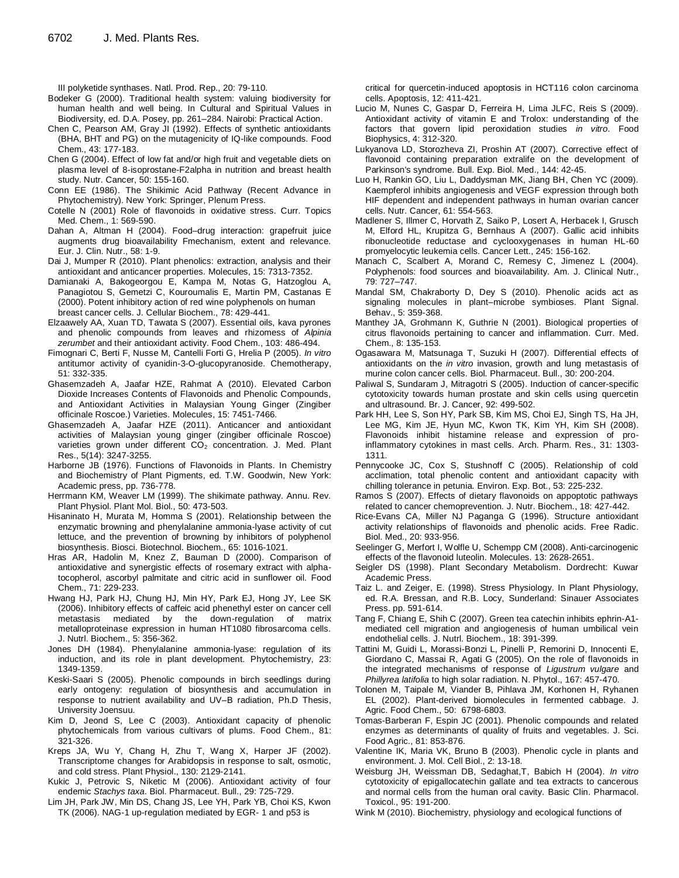III polyketide synthases. Natl. Prod. Rep., 20: 79-110.

- Bodeker G (2000). Traditional health system: valuing biodiversity for human health and well being. In Cultural and Spiritual Values in Biodiversity, ed. D.A. Posey, pp. 261–284. Nairobi: Practical Action.
- Chen C, Pearson AM, Gray JI (1992). Effects of synthetic antioxidants (BHA, BHT and PG) on the mutagenicity of IQ-like compounds. Food Chem., 43: 177-183.
- Chen G (2004). Effect of low fat and/or high fruit and vegetable diets on plasma level of 8-isoprostane-F2alpha in nutrition and breast health study. Nutr. Cancer, 50: 155-160.
- Conn EE (1986). The Shikimic Acid Pathway (Recent Advance in Phytochemistry). New York: Springer, Plenum Press.
- Cotelle N (2001) Role of flavonoids in oxidative stress. Curr. Topics Med. Chem., 1: 569-590.
- Dahan A, Altman H (2004). Food–drug interaction: grapefruit juice augments drug bioavailability Fmechanism, extent and relevance. Eur. J. Clin. Nutr., 58: 1-9.
- Dai J, Mumper R (2010). Plant phenolics: extraction, analysis and their antioxidant and anticancer properties. Molecules, 15: 7313-7352.
- Damianaki A, Bakogeorgou E, Kampa M, Notas G, Hatzoglou A, Panagiotou S, Gemetzi C, Kouroumalis E, Martin PM, Castanas E (2000). Potent inhibitory action of red wine polyphenols on human breast cancer cells. J. Cellular Biochem., 78: 429-441.
- Elzaawely AA, Xuan TD, Tawata S (2007). Essential oils, kava pyrones and phenolic compounds from leaves and rhizomess of *Alpinia zerumbet* and their antioxidant activity. Food Chem., 103: 486-494.
- Fimognari C, Berti F, Nusse M, Cantelli Forti G, Hrelia P (2005). *In vitro* antitumor activity of cyanidin-3-O-glucopyranoside. Chemotherapy, 51: 332-335.
- Ghasemzadeh A, Jaafar HZE, Rahmat A (2010). Elevated Carbon Dioxide Increases Contents of Flavonoids and Phenolic Compounds, and Antioxidant Activities in Malaysian Young Ginger (Zingiber officinale Roscoe.) Varieties. Molecules, 15: 7451-7466.
- Ghasemzadeh A, Jaafar HZE (2011). Anticancer and antioxidant activities of Malaysian young ginger (zingiber officinale Roscoe) varieties grown under different  $CO<sub>2</sub>$  concentration. J. Med. Plant Res., 5(14): 3247-3255.
- Harborne JB (1976). Functions of Flavonoids in Plants. In Chemistry and Biochemistry of Plant Pigments, ed. T.W. Goodwin, New York: Academic press, pp. 736-778.
- Herrmann KM, Weaver LM (1999). The shikimate pathway. Annu. Rev. Plant Physiol. Plant Mol. Biol., 50: 473-503.
- Hisaninato H, Murata M, Homma S (2001). Relationship between the enzymatic browning and phenylalanine ammonia-lyase activity of cut lettuce, and the prevention of browning by inhibitors of polyphenol biosynthesis. Biosci. Biotechnol. Biochem., 65: 1016-1021.
- Hras AR, Hadolin M, Knez Z, Bauman D (2000). Comparison of antioxidative and synergistic effects of rosemary extract with alphatocopherol, ascorbyl palmitate and citric acid in sunflower oil. Food Chem., 71: 229-233.
- Hwang HJ, Park HJ, Chung HJ, Min HY, Park EJ, Hong JY, Lee SK (2006). Inhibitory effects of caffeic acid phenethyl ester on cancer cell metastasis mediated by the down-regulation of matrix metalloproteinase expression in human HT1080 fibrosarcoma cells. J. Nutrl. Biochem., 5: 356-362.
- Jones DH (1984). Phenylalanine ammonia-lyase: regulation of its induction, and its role in plant development. Phytochemistry, 23: 1349-1359.
- Keski-Saari S (2005). Phenolic compounds in birch seedlings during early ontogeny: regulation of biosynthesis and accumulation in response to nutrient availability and UV–B radiation, Ph.D Thesis, University Joensuu.
- Kim D, Jeond S, Lee C (2003). Antioxidant capacity of phenolic phytochemicals from various cultivars of plums. Food Chem., 81: 321-326.
- Kreps JA, Wu Y, Chang H, Zhu T, Wang X, Harper JF (2002). Transcriptome changes for Arabidopsis in response to salt, osmotic, and cold stress. Plant Physiol., 130: 2129-2141.
- Kukic J, Petrovic S, Niketic M (2006). Antioxidant activity of four endemic *Stachys taxa*. Biol. Pharmaceut. Bull., 29: 725-729.
- Lim JH, Park JW, Min DS, Chang JS, Lee YH, Park YB, Choi KS, Kwon TK (2006). NAG-1 up-regulation mediated by EGR- 1 and p53 is

critical for quercetin-induced apoptosis in HCT116 colon carcinoma cells. Apoptosis, 12: 411-421.

- Lucio M, Nunes C, Gaspar D, Ferreira H, Lima JLFC, Reis S (2009). Antioxidant activity of vitamin E and Trolox: understanding of the factors that govern lipid peroxidation studies *in vitro*. Food Biophysics, 4: 312-320.
- Lukyanova LD, Storozheva ZI, Proshin AT (2007). Corrective effect of flavonoid containing preparation extralife on the development of Parkinson's syndrome. Bull. Exp. Biol. Med., 144: 42-45.
- Luo H, Rankin GO, Liu L, Daddysman MK, Jiang BH, Chen YC (2009). Kaempferol inhibits angiogenesis and VEGF expression through both HIF dependent and independent pathways in human ovarian cancer cells. Nutr. Cancer, 61: 554-563.
- Madlener S, Illmer C, Horvath Z, Saiko P, Losert A, Herbacek I, Grusch M, Elford HL, Krupitza G, Bernhaus A (2007). Gallic acid inhibits ribonucleotide reductase and cyclooxygenases in human HL-60 promyelocytic leukemia cells. Cancer Lett., 245: 156-162.
- Manach C, Scalbert A, Morand C, Remesy C, Jimenez L (2004). Polyphenols: food sources and bioavailability. Am. J. Clinical Nutr., 79: 727–747.
- Mandal SM, Chakraborty D, Dey S (2010). Phenolic acids act as signaling molecules in plant–microbe symbioses. Plant Signal. Behav., 5: 359-368.
- Manthey JA, Grohmann K, Guthrie N (2001). Biological properties of citrus flavonoids pertaining to cancer and inflammation. Curr. Med. Chem., 8: 135-153.
- Ogasawara M, Matsunaga T, Suzuki H (2007). Differential effects of antioxidants on the *in vitro* invasion, growth and lung metastasis of murine colon cancer cells. Biol. Pharmaceut. Bull., 30: 200-204.
- Paliwal S, Sundaram J, Mitragotri S (2005). Induction of cancer-specific cytotoxicity towards human prostate and skin cells using quercetin and ultrasound. Br. J. Cancer, 92: 499-502.
- Park HH, Lee S, Son HY, Park SB, Kim MS, Choi EJ, Singh TS, Ha JH, Lee MG, Kim JE, Hyun MC, Kwon TK, Kim YH, Kim SH (2008). Flavonoids inhibit histamine release and expression of proinflammatory cytokines in mast cells. Arch. Pharm. Res., 31: 1303- 1311.
- Pennycooke JC, Cox S, Stushnoff C (2005). Relationship of cold acclimation, total phenolic content and antioxidant capacity with chilling tolerance in petunia. Environ. Exp. Bot., 53: 225-232.
- Ramos S (2007). Effects of dietary flavonoids on appoptotic pathways related to cancer chemoprevention. J. Nutr. Biochem., 18: 427-442.
- Rice-Evans CA, Miller NJ Paganga G (1996). Structure antioxidant activity relationships of flavonoids and phenolic acids. Free Radic. Biol. Med., 20: 933-956.
- Seelinger G, Merfort I, Wolfle U, Schempp CM (2008). Anti-carcinogenic effects of the flavonoid luteolin. Molecules. 13: 2628-2651.
- Seigler DS (1998). Plant Secondary Metabolism. Dordrecht: Kuwar Academic Press.
- Taiz L. and Zeiger, E. (1998). Stress Physiology. In Plant Physiology, ed. R.A. Bressan, and R.B. Locy, Sunderland: Sinauer Associates Press. pp. 591-614.
- Tang F, Chiang E, Shih C (2007). Green tea catechin inhibits ephrin-A1 mediated cell migration and angiogenesis of human umbilical vein endothelial cells. J. Nutrl. Biochem., 18: 391-399.
- Tattini M, Guidi L, Morassi-Bonzi L, Pinelli P, Remorini D, Innocenti E, Giordano C, Massai R, Agati G (2005). On the role of flavonoids in the integrated mechanisms of response of *Ligustrum vulgare* and *Phillyrea latifolia* to high solar radiation. N. Phytol., 167: 457-470.
- Tolonen M, Taipale M, Viander B, Pihlava JM, Korhonen H, Ryhanen EL (2002). Plant-derived biomolecules in fermented cabbage. J. Agric. Food Chem., 50: 6798-6803.
- Tomas-Barberan F, Espin JC (2001). Phenolic compounds and related enzymes as determinants of quality of fruits and vegetables. J. Sci. Food Agric., 81: 853-876.
- Valentine IK, Maria VK, Bruno B (2003). Phenolic cycle in plants and environment. J. Mol. Cell Biol., 2: 13-18.
- Weisburg JH, Weissman DB, Sedaghat,T, Babich H (2004). *In vitro* cytotoxicity of epigallocatechin gallate and tea extracts to cancerous and normal cells from the human oral cavity. Basic Clin. Pharmacol. Toxicol., 95: 191-200.
- Wink M (2010). Biochemistry, physiology and ecological functions of